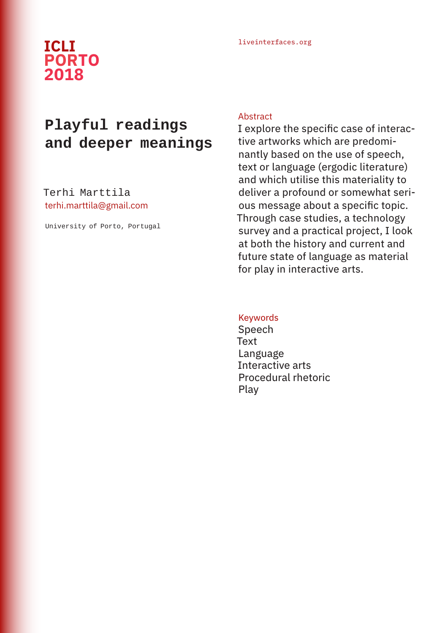# liveinterfaces.org **ICLI PORTO 2018**

# **Playful readings and deeper meanings**

Terhi Marttila terhi.marttila@gmail.com

University of Porto, Portugal

#### Abstract

I explore the specific case of interactive artworks which are predominantly based on the use of speech, text or language (ergodic literature) and which utilise this materiality to deliver a profound or somewhat serious message about a specific topic. Through case studies, a technology survey and a practical project, I look at both the history and current and future state of language as material for play in interactive arts.

## Keywords

Speech **Text** Language Interactive arts Procedural rhetoric Play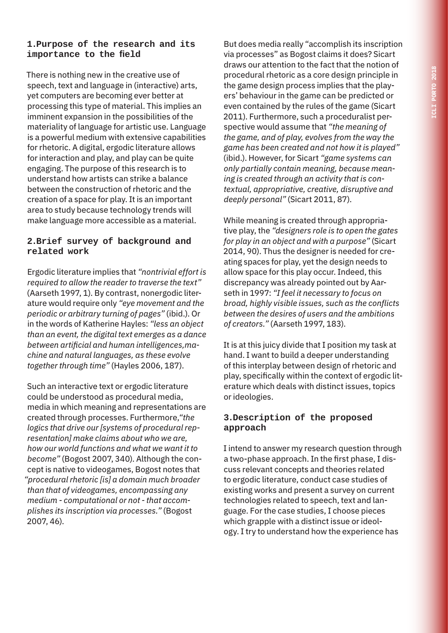# **1.Purpose of the research and its importance to the field**

There is nothing new in the creative use of speech, text and language in (interactive) arts, yet computers are becoming ever better at processing this type of material. This implies an imminent expansion in the possibilities of the materiality of language for artistic use. Language is a powerful medium with extensive capabilities for rhetoric. A digital, ergodic literature allows for interaction and play, and play can be quite engaging. The purpose of this research is to understand how artists can strike a balance between the construction of rhetoric and the creation of a space for play. It is an important area to study because technology trends will make language more accessible as a material.

## **2.Brief survey of background and related work**

Ergodic literature implies that *"nontrivial effort is required to allow the reader to traverse the text"* (Aarseth 1997, 1). By contrast, nonergodic literature would require only *"eye movement and the periodic or arbitrary turning of pages"* (ibid.). Or in the words of Katherine Hayles: *"less an object than an event, the digital text emerges as a dance between artificial and human intelligences,machine and natural languages, as these evolve together through time"* (Hayles 2006, 187).

Such an interactive text or ergodic literature could be understood as procedural media, media in which meaning and representations are created through processes. Furthermore,*"the logics that drive our [systems of procedural representation] make claims about who we are, how our world functions and what we want it to become"* (Bogost 2007, 340). Although the concept is native to videogames, Bogost notes that *"procedural rhetoric [is] a domain much broader than that of videogames, encompassing any medium - computational or not - that accomplishes its inscription via processes."* (Bogost 2007, 46).

But does media really "accomplish its inscription via processes" as Bogost claims it does? Sicart draws our attention to the fact that the notion of procedural rhetoric as a core design principle in the game design process implies that the players' behaviour in the game can be predicted or even contained by the rules of the game (Sicart 2011). Furthermore, such a proceduralist perspective would assume that *"the meaning of the game, and of play, evolves from the way the game has been created and not how it is played"*  (ibid.). However, for Sicart *"game systems can only partially contain meaning, because meaning is created through an activity that is contextual, appropriative, creative, disruptive and deeply personal"* (Sicart 2011, 87).

While meaning is created through appropriative play, the *"designers role is to open the gates for play in an object and with a purpose"* (Sicart 2014, 90). Thus the designer is needed for creating spaces for play, yet the design needs to allow space for this play occur. Indeed, this discrepancy was already pointed out by Aarseth in 1997: *"I feel it necessary to focus on broad, highly visible issues, such as the conflicts between the desires of users and the ambitions of creators."* (Aarseth 1997, 183).

It is at this juicy divide that I position my task at hand. I want to build a deeper understanding of this interplay between design of rhetoric and play, specifically within the context of ergodic literature which deals with distinct issues, topics or ideologies.

#### **3.Description of the proposed approach**

I intend to answer my research question through a two-phase approach. In the first phase, I discuss relevant concepts and theories related to ergodic literature, conduct case studies of existing works and present a survey on current technologies related to speech, text and language. For the case studies, I choose pieces which grapple with a distinct issue or ideology. I try to understand how the experience has